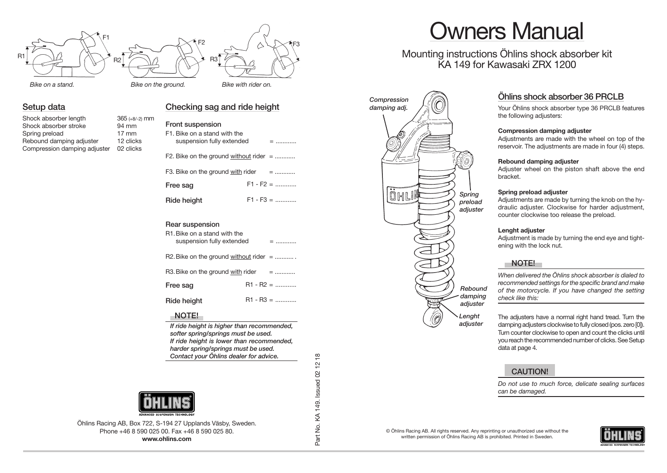

#### **Setup data**

| Shock absorber length        | $365$ (+8/-2) mm |
|------------------------------|------------------|
| Shock absorber stroke        | 94 mm            |
| Spring preload               | $17 \text{ mm}$  |
| Rebound damping adjuster     | 12 clicks        |
| Compression damping adjuster | 02 clicks        |

### **Checking sag and ride height** *damping adj.*

| Front suspension<br>F1. Bike on a stand with the<br>suspension fully extended | $=$         |  |
|-------------------------------------------------------------------------------|-------------|--|
| F2. Bike on the ground without rider $=$                                      |             |  |
| F3. Bike on the ground $with$ rider $=$                                       |             |  |
| Free sag                                                                      | $F1 - F2 =$ |  |
| Ride height                                                                   | $F1 - F3 =$ |  |
| Rear suspension<br>R1. Bike on a stand with the<br>suspension fully extended  | $=$         |  |
| R2. Bike on the ground without rider $=$                                      |             |  |
| R3. Bike on the ground with rider $=$                                         |             |  |
| Free sag                                                                      | $R1 - R2 =$ |  |
| Ride height                                                                   | $R1 - R3 =$ |  |

#### **NOTE!**

*If ride height is higher than recommended, softer spring/springs must be used. If ride height is lower than recommended, harder spring/springs must be used. Contact your Öhlins dealer for advice.*



Öhlins Racing AB, Box 722, S-194 27 Upplands Väsby, Sweden. Phone +46 8 590 025 00. Fax +46 8 590 025 80. **www.ohlins.com**

# Owners Manual

Mounting instructions Öhlins shock absorber kit KA 149 for Kawasaki ZRX 1200



### Öhlins shock absorber 36 PRCLB

Your Öhlins shock absorber type 36 PRCLB features the following adjusters:

#### **Compression damping adjuster**

Adjustments are made with the wheel on top of the reservoir. The adjustments are made in four (4) steps.

#### **Rebound damping adjuster**

Adjuster wheel on the piston shaft above the end bracket.

#### **Spring preload adjuster**

Adjustments are made by turning the knob on the hydraulic adjuster. Clockwise for harder adjustment, counter clockwise too release the preload.

#### **Lenght adjuster**

Adjustment is made by turning the end eye and tightening with the lock nut.

#### **NOTE!**

*When delivered the Öhlins shock absorber is dialed to recommended settings for the specific brand and make of the motorcycle. If you have changed the setting check like this:*

The adjusters have a normal right hand tread. Turn the damping adjusters clockwise to fully closed (pos. zero [0]). Turn counter clockwise to open and count the clicks until you reach the recommended number of clicks. See Setup data at page 4.

#### **CAUTION!**

*Do not use to much force, delicate sealing surfaces can be damaged.*

© Öhlins Racing AB. All rights reserved. Any reprinting or unauthorized use without the written permission of Öhlins Racing AB is prohibited. Printed in Sweden.



 $1218$ Part No. KA 149. Issued 02 12 18 Part No. KA 149. Issued 02